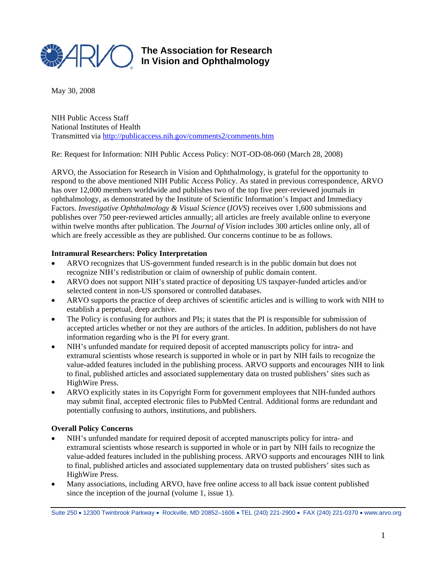

## **The Association for Research In Vision and Ophthalmology**

May 30, 2008

NIH Public Access Staff National Institutes of Health Transmitted via http://publicaccess.nih.gov/comments2/comments.htm

Re: Request for Information: NIH Public Access Policy: NOT-OD-08-060 (March 28, 2008)

ARVO, the Association for Research in Vision and Ophthalmology, is grateful for the opportunity to respond to the above mentioned NIH Public Access Policy. As stated in previous correspondence, ARVO has over 12,000 members worldwide and publishes two of the top five peer-reviewed journals in ophthalmology, as demonstrated by the Institute of Scientific Information's Impact and Immediacy Factors. *Investigative Ophthalmology & Visual Science* (*IOVS*) receives over 1,600 submissions and publishes over 750 peer-reviewed articles annually; all articles are freely available online to everyone within twelve months after publication. The *Journal of Vision* includes 300 articles online only, all of which are freely accessible as they are published. Our concerns continue to be as follows.

## **Intramural Researchers: Policy Interpretation**

- ARVO recognizes that US-government funded research is in the public domain but does not recognize NIH's redistribution or claim of ownership of public domain content.
- ARVO does not support NIH's stated practice of depositing US taxpayer-funded articles and/or selected content in non-US sponsored or controlled databases.
- ARVO supports the practice of deep archives of scientific articles and is willing to work with NIH to establish a perpetual, deep archive.
- The Policy is confusing for authors and PIs; it states that the PI is responsible for submission of accepted articles whether or not they are authors of the articles. In addition, publishers do not have information regarding who is the PI for every grant.
- NIH's unfunded mandate for required deposit of accepted manuscripts policy for intra- and extramural scientists whose research is supported in whole or in part by NIH fails to recognize the value-added features included in the publishing process. ARVO supports and encourages NIH to link to final, published articles and associated supplementary data on trusted publishers' sites such as HighWire Press.
- ARVO explicitly states in its Copyright Form for government employees that NIH-funded authors may submit final, accepted electronic files to PubMed Central. Additional forms are redundant and potentially confusing to authors, institutions, and publishers.

## **Overall Policy Concerns**

- NIH's unfunded mandate for required deposit of accepted manuscripts policy for intra- and extramural scientists whose research is supported in whole or in part by NIH fails to recognize the value-added features included in the publishing process. ARVO supports and encourages NIH to link to final, published articles and associated supplementary data on trusted publishers' sites such as HighWire Press.
- Many associations, including ARVO, have free online access to all back issue content published since the inception of the journal (volume 1, issue 1).

Suite 250 • 12300 Twinbrook Parkway • Rockville, MD 20852–1606 • TEL (240) 221-2900 • FAX (240) 221-0370 • www.arvo.org